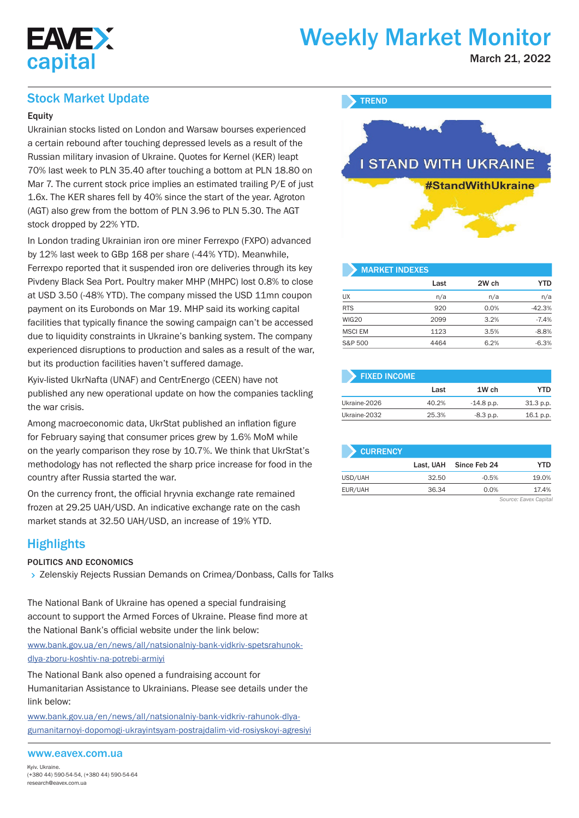

# Weekly Market Monitor

March 21, 2022

## Stock Market Update

#### **Equity**

Ukrainian stocks listed on London and Warsaw bourses experienced a certain rebound after touching depressed levels as a result of the Russian military invasion of Ukraine. Quotes for Kernel (KER) leapt 70% last week to PLN 35.40 after touching a bottom at PLN 18.80 on Mar 7. The current stock price implies an estimated trailing P/E of just 1.6x. The KER shares fell by 40% since the start of the year. Agroton (AGT) also grew from the bottom of PLN 3.96 to PLN 5.30. The AGT stock dropped by 22% YTD.

In London trading Ukrainian iron ore miner Ferrexpo (FXPO) advanced by 12% last week to GBp 168 per share (-44% YTD). Meanwhile, Ferrexpo reported that it suspended iron ore deliveries through its key Pivdeny Black Sea Port. Poultry maker MHP (MHPC) lost 0.8% to close at USD 3.50 (-48% YTD). The company missed the USD 11mn coupon payment on its Eurobonds on Mar 19. MHP said its working capital facilities that typically finance the sowing campaign can't be accessed due to liquidity constraints in Ukraine's banking system. The company experienced disruptions to production and sales as a result of the war, but its production facilities haven't suffered damage.

Kyiv-listed UkrNafta (UNAF) and CentrEnergo (CEEN) have not published any new operational update on how the companies tackling the war crisis.

Among macroeconomic data, UkrStat published an inflation figure for February saying that consumer prices grew by 1.6% MoM while on the yearly comparison they rose by 10.7%. We think that UkrStat's methodology has not reflected the sharp price increase for food in the country after Russia started the war.

On the currency front, the official hryvnia exchange rate remained frozen at 29.25 UAH/USD. An indicative exchange rate on the cash market stands at 32.50 UAH/USD, an increase of 19% YTD.

# **Highlights**

#### POLITICS AND ECONOMICS

> Zelenskiy Rejects Russian Demands on Crimea/Donbass, Calls for Talks

The National Bank of Ukraine has opened a special fundraising account to support the Armed Forces of Ukraine. Please find more at the National Bank's official website under the link below:

www.bank.gov.ua/en/news/all/natsionalniy-bank-vidkriv-spetsrahunokdlya-zboru-koshtiv-na-potrebi-armiyi

The National Bank also opened a fundraising account for Humanitarian Assistance to Ukrainians. Please see details under the link below:

www.bank.gov.ua/en/news/all/natsionalniy-bank-vidkriv-rahunok-dlyagumanitarnoyi-dopomogi-ukrayintsyam-postrajdalim-vid-rosiyskoyi-agresiyi

#### www.eavex.com.ua



| <b>MARKET INDEXES</b> |      |       |            |
|-----------------------|------|-------|------------|
|                       | Last | 2W ch | <b>YTD</b> |
| <b>UX</b>             | n/a  | n/a   | n/a        |
| <b>RTS</b>            | 920  | 0.0%  | $-42.3%$   |
| WIG20                 | 2099 | 3.2%  | $-7.4%$    |
| <b>MSCI EM</b>        | 1123 | 3.5%  | $-8.8%$    |
| S&P 500               | 4464 | 6.2%  | $-6.3%$    |

| <b>FIXED INCOME</b> |       |              |           |
|---------------------|-------|--------------|-----------|
|                     | Last  | 1W ch        | YTD       |
| Ukraine-2026        | 40.2% | $-14.8$ p.p. | 31.3 p.p. |
| Ukraine-2032        | 25.3% | $-8.3$ p.p.  | 16.1 p.p. |

| <b>CURRENCY</b> |           |              |                                           |
|-----------------|-----------|--------------|-------------------------------------------|
|                 | Last. UAH | Since Feb 24 | YTD                                       |
| USD/UAH         | 32.50     | $-0.5%$      | 19.0%                                     |
| EUR/UAH         | 36.34     | 0.0%         | 17.4%                                     |
|                 |           |              | $\sim$ $\sim$ $\sim$ $\sim$ $\sim$ $\sim$ |

*Source: Eavex Capital*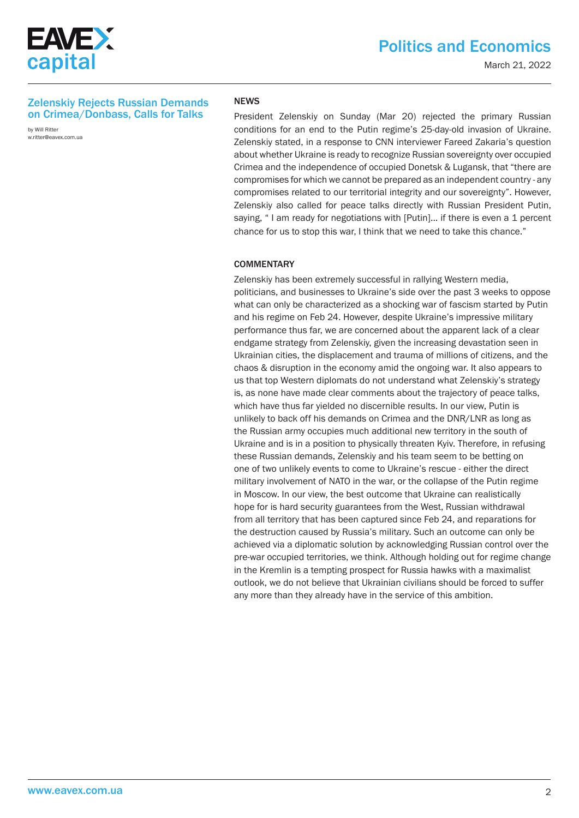

March 21, 2022

#### Zelenskiy Rejects Russian Demands on Crimea/Donbass, Calls for Talks

by Will Ritter w.ritter@eavex.com.ua

#### NEWS

President Zelenskiy on Sunday (Mar 20) rejected the primary Russian conditions for an end to the Putin regime's 25-day-old invasion of Ukraine. Zelenskiy stated, in a response to CNN interviewer Fareed Zakaria's question about whether Ukraine is ready to recognize Russian sovereignty over occupied Crimea and the independence of occupied Donetsk & Lugansk, that "there are compromises for which we cannot be prepared as an independent country - any compromises related to our territorial integrity and our sovereignty". However, Zelenskiy also called for peace talks directly with Russian President Putin, saying, "I am ready for negotiations with [Putin]... if there is even a 1 percent chance for us to stop this war, I think that we need to take this chance."

#### **COMMENTARY**

Zelenskiy has been extremely successful in rallying Western media, politicians, and businesses to Ukraine's side over the past 3 weeks to oppose what can only be characterized as a shocking war of fascism started by Putin and his regime on Feb 24. However, despite Ukraine's impressive military performance thus far, we are concerned about the apparent lack of a clear endgame strategy from Zelenskiy, given the increasing devastation seen in Ukrainian cities, the displacement and trauma of millions of citizens, and the chaos & disruption in the economy amid the ongoing war. It also appears to us that top Western diplomats do not understand what Zelenskiy's strategy is, as none have made clear comments about the trajectory of peace talks, which have thus far yielded no discernible results. In our view, Putin is unlikely to back off his demands on Crimea and the DNR/LNR as long as the Russian army occupies much additional new territory in the south of Ukraine and is in a position to physically threaten Kyiv. Therefore, in refusing these Russian demands, Zelenskiy and his team seem to be betting on one of two unlikely events to come to Ukraine's rescue - either the direct military involvement of NATO in the war, or the collapse of the Putin regime in Moscow. In our view, the best outcome that Ukraine can realistically hope for is hard security guarantees from the West, Russian withdrawal from all territory that has been captured since Feb 24, and reparations for the destruction caused by Russia's military. Such an outcome can only be achieved via a diplomatic solution by acknowledging Russian control over the pre-war occupied territories, we think. Although holding out for regime change in the Kremlin is a tempting prospect for Russia hawks with a maximalist outlook, we do not believe that Ukrainian civilians should be forced to suffer any more than they already have in the service of this ambition.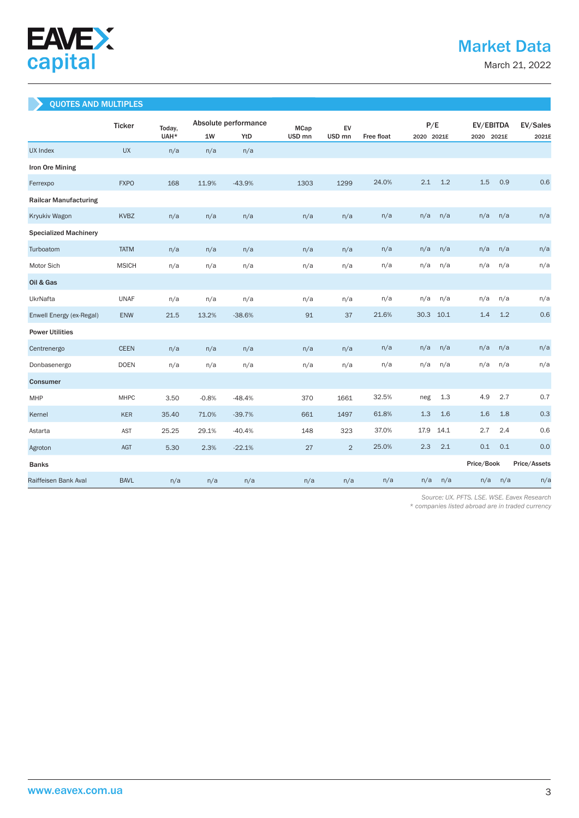

March 21, 2022

### QUOTES AND MULTIPLES

|                              | <b>Ticker</b> | Today, |         | Absolute performance |                                  | EV                |            |      | P/E        |            | EV/EBITDA  |              |  |
|------------------------------|---------------|--------|---------|----------------------|----------------------------------|-------------------|------------|------|------------|------------|------------|--------------|--|
|                              |               | UAH*   | 1W      | YtD                  | <b>MCap</b><br>USD <sub>mn</sub> | USD <sub>mn</sub> | Free float |      | 2020 2021E |            | 2020 2021E | 2021E        |  |
| <b>UX Index</b>              | <b>UX</b>     | n/a    | n/a     | n/a                  |                                  |                   |            |      |            |            |            |              |  |
| Iron Ore Mining              |               |        |         |                      |                                  |                   |            |      |            |            |            |              |  |
| Ferrexpo                     | <b>FXPO</b>   | 168    | 11.9%   | $-43.9%$             | 1303                             | 1299              | 24.0%      | 2.1  | 1.2        | 1.5        | 0.9        | 0.6          |  |
| <b>Railcar Manufacturing</b> |               |        |         |                      |                                  |                   |            |      |            |            |            |              |  |
| Kryukiv Wagon                | <b>KVBZ</b>   | n/a    | n/a     | n/a                  | n/a                              | n/a               | n/a        | n/a  | n/a        | n/a        | n/a        | n/a          |  |
| <b>Specialized Machinery</b> |               |        |         |                      |                                  |                   |            |      |            |            |            |              |  |
| Turboatom                    | <b>TATM</b>   | n/a    | n/a     | n/a                  | n/a                              | n/a               | n/a        | n/a  | n/a        | n/a        | n/a        | n/a          |  |
| Motor Sich                   | <b>MSICH</b>  | n/a    | n/a     | n/a                  | n/a                              | n/a               | n/a        | n/a  | n/a        | n/a        | n/a        | n/a          |  |
| Oil & Gas                    |               |        |         |                      |                                  |                   |            |      |            |            |            |              |  |
| UkrNafta                     | <b>UNAF</b>   | n/a    | n/a     | n/a                  | n/a                              | n/a               | n/a        | n/a  | n/a        | n/a        | n/a        | n/a          |  |
| Enwell Energy (ex-Regal)     | ENW           | 21.5   | 13.2%   | $-38.6%$             | 91                               | 37                | 21.6%      | 30.3 | 10.1       | 1.4        | 1.2        | 0.6          |  |
| <b>Power Utilities</b>       |               |        |         |                      |                                  |                   |            |      |            |            |            |              |  |
| Centrenergo                  | <b>CEEN</b>   | n/a    | n/a     | n/a                  | n/a                              | n/a               | n/a        | n/a  | n/a        | n/a        | n/a        | n/a          |  |
| Donbasenergo                 | <b>DOEN</b>   | n/a    | n/a     | n/a                  | n/a                              | n/a               | n/a        | n/a  | n/a        | n/a        | n/a        | n/a          |  |
| <b>Consumer</b>              |               |        |         |                      |                                  |                   |            |      |            |            |            |              |  |
| MHP                          | <b>MHPC</b>   | 3.50   | $-0.8%$ | $-48.4%$             | 370                              | 1661              | 32.5%      | neg  | 1.3        | 4.9        | 2.7        | 0.7          |  |
| Kernel                       | <b>KER</b>    | 35.40  | 71.0%   | $-39.7%$             | 661                              | 1497              | 61.8%      | 1.3  | 1.6        | 1.6        | 1.8        | 0.3          |  |
| Astarta                      | <b>AST</b>    | 25.25  | 29.1%   | $-40.4%$             | 148                              | 323               | 37.0%      | 17.9 | 14.1       | 2.7        | 2.4        | 0.6          |  |
| Agroton                      | AGT           | 5.30   | 2.3%    | $-22.1%$             | 27                               | $\overline{2}$    | 25.0%      | 2.3  | 2.1        | 0.1        | 0.1        | 0.0          |  |
| <b>Banks</b>                 |               |        |         |                      |                                  |                   |            |      |            | Price/Book |            | Price/Assets |  |
| Raiffeisen Bank Aval         | <b>BAVL</b>   | n/a    | n/a     | n/a                  | n/a                              | n/a               | n/a        | n/a  | n/a        | n/a        | n/a        | n/a          |  |

 *Source: UX. PFTS. LSE. WSE. Eavex Research* 

*\* companies listed abroad are in traded currency*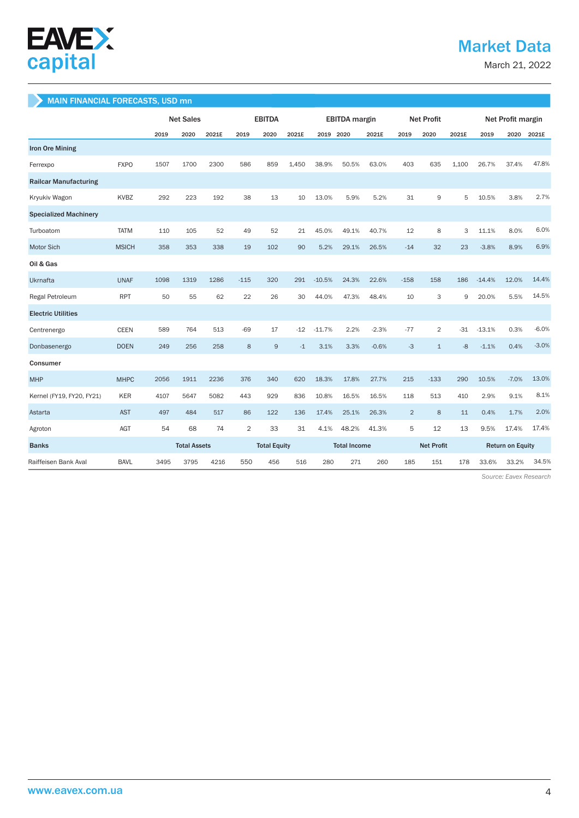

# Market Data

March 21, 2022

#### MAIN FINANCIAL FORECASTS, USD mn

|                              |              | <b>Net Sales</b> |                     | <b>EBITDA</b> |                     |                | <b>EBITDA</b> margin |           |       | <b>Net Profit</b> |                |                | Net Profit margin       |          |         |         |
|------------------------------|--------------|------------------|---------------------|---------------|---------------------|----------------|----------------------|-----------|-------|-------------------|----------------|----------------|-------------------------|----------|---------|---------|
|                              |              | 2019             | 2020                | 2021E         | 2019                | 2020           | 2021E                | 2019 2020 |       | 2021E             | 2019           | 2020           | 2021E                   | 2019     | 2020    | 2021E   |
| <b>Iron Ore Mining</b>       |              |                  |                     |               |                     |                |                      |           |       |                   |                |                |                         |          |         |         |
| Ferrexpo                     | <b>FXPO</b>  | 1507             | 1700                | 2300          | 586                 | 859            | 1.450                | 38.9%     | 50.5% | 63.0%             | 403            | 635            | 1.100                   | 26.7%    | 37.4%   | 47.8%   |
| <b>Railcar Manufacturing</b> |              |                  |                     |               |                     |                |                      |           |       |                   |                |                |                         |          |         |         |
| Kryukiv Wagon                | <b>KVBZ</b>  | 292              | 223                 | 192           | 38                  | 13             | 10                   | 13.0%     | 5.9%  | 5.2%              | 31             | 9              | 5                       | 10.5%    | 3.8%    | 2.7%    |
| <b>Specialized Machinery</b> |              |                  |                     |               |                     |                |                      |           |       |                   |                |                |                         |          |         |         |
| Turboatom                    | <b>TATM</b>  | 110              | 105                 | 52            | 49                  | 52             | 21                   | 45.0%     | 49.1% | 40.7%             | 12             | 8              | 3                       | 11.1%    | 8.0%    | 6.0%    |
| Motor Sich                   | <b>MSICH</b> | 358              | 353                 | 338           | 19                  | 102            | 90                   | 5.2%      | 29.1% | 26.5%             | $-14$          | 32             | 23                      | $-3.8%$  | 8.9%    | 6.9%    |
| Oil & Gas                    |              |                  |                     |               |                     |                |                      |           |       |                   |                |                |                         |          |         |         |
| Ukrnafta                     | <b>UNAF</b>  | 1098             | 1319                | 1286          | $-115$              | 320            | 291                  | $-10.5%$  | 24.3% | 22.6%             | $-158$         | 158            | 186                     | $-14.4%$ | 12.0%   | 14.4%   |
| Regal Petroleum              | <b>RPT</b>   | 50               | 55                  | 62            | 22                  | 26             | 30                   | 44.0%     | 47.3% | 48.4%             | 10             | 3              | 9                       | 20.0%    | 5.5%    | 14.5%   |
| <b>Electric Utilities</b>    |              |                  |                     |               |                     |                |                      |           |       |                   |                |                |                         |          |         |         |
| Centrenergo                  | <b>CEEN</b>  | 589              | 764                 | 513           | $-69$               | 17             | $-12$                | $-11.7%$  | 2.2%  | $-2.3%$           | $-77$          | $\overline{2}$ | -31                     | $-13.1%$ | 0.3%    | $-6.0%$ |
| Donbasenergo                 | <b>DOEN</b>  | 249              | 256                 | 258           | 8                   | $\overline{9}$ | $-1$                 | 3.1%      | 3.3%  | $-0.6%$           | $-3$           | $\mathbf{1}$   | $-8$                    | $-1.1%$  | 0.4%    | $-3.0%$ |
| Consumer                     |              |                  |                     |               |                     |                |                      |           |       |                   |                |                |                         |          |         |         |
| <b>MHP</b>                   | <b>MHPC</b>  | 2056             | 1911                | 2236          | 376                 | 340            | 620                  | 18.3%     | 17.8% | 27.7%             | 215            | $-133$         | 290                     | 10.5%    | $-7.0%$ | 13.0%   |
| Kernel (FY19, FY20, FY21)    | <b>KER</b>   | 4107             | 5647                | 5082          | 443                 | 929            | 836                  | 10.8%     | 16.5% | 16.5%             | 118            | 513            | 410                     | 2.9%     | 9.1%    | 8.1%    |
| Astarta                      | <b>AST</b>   | 497              | 484                 | 517           | 86                  | 122            | 136                  | 17.4%     | 25.1% | 26.3%             | $\overline{2}$ | 8              | 11                      | 0.4%     | 1.7%    | 2.0%    |
| Agroton                      | AGT          | 54               | 68                  | 74            | $\overline{2}$      | 33             | 31                   | 4.1%      | 48.2% | 41.3%             | 5              | 12             | 13                      | 9.5%     | 17.4%   | 17.4%   |
| <b>Banks</b>                 |              |                  | <b>Total Assets</b> |               | <b>Total Equity</b> |                | <b>Total Income</b>  |           |       | <b>Net Profit</b> |                |                | <b>Return on Equity</b> |          |         |         |
| Raiffeisen Bank Aval         | <b>BAVL</b>  | 3495             | 3795                | 4216          | 550                 | 456            | 516                  | 280       | 271   | 260               | 185            | 151            | 178                     | 33.6%    | 33.2%   | 34.5%   |

 *Source: Eavex Research*